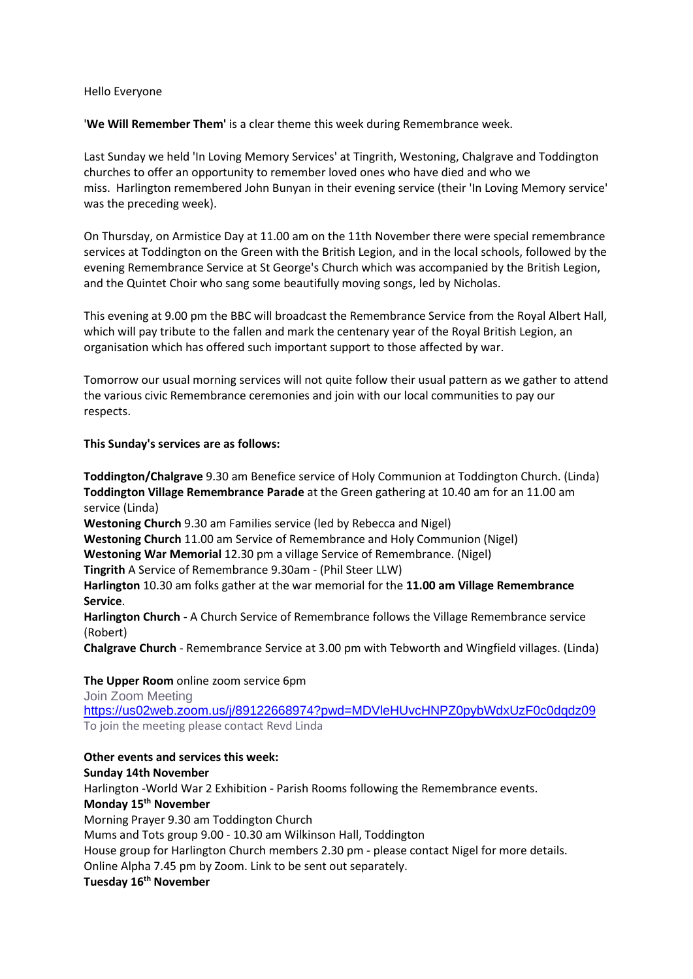#### Hello Everyone

'**We Will Remember Them'** is a clear theme this week during Remembrance week.

Last Sunday we held 'In Loving Memory Services' at Tingrith, Westoning, Chalgrave and Toddington churches to offer an opportunity to remember loved ones who have died and who we miss. Harlington remembered John Bunyan in their evening service (their 'In Loving Memory service' was the preceding week).

On Thursday, on Armistice Day at 11.00 am on the 11th November there were special remembrance services at Toddington on the Green with the British Legion, and in the local schools, followed by the evening Remembrance Service at St George's Church which was accompanied by the British Legion, and the Quintet Choir who sang some beautifully moving songs, led by Nicholas.

This evening at 9.00 pm the BBC will broadcast the Remembrance Service from the Royal Albert Hall, which will pay tribute to the fallen and mark the centenary year of the Royal British Legion, an organisation which has offered such important support to those affected by war.

Tomorrow our usual morning services will not quite follow their usual pattern as we gather to attend the various civic Remembrance ceremonies and join with our local communities to pay our respects.

## **This Sunday's services are as follows:**

**Toddington/Chalgrave** 9.30 am Benefice service of Holy Communion at Toddington Church. (Linda) **Toddington Village Remembrance Parade** at the Green gathering at 10.40 am for an 11.00 am service (Linda)

**Westoning Church** 9.30 am Families service (led by Rebecca and Nigel)

**Westoning Church** 11.00 am Service of Remembrance and Holy Communion (Nigel)

**Westoning War Memorial** 12.30 pm a village Service of Remembrance. (Nigel)

**Tingrith** A Service of Remembrance 9.30am - (Phil Steer LLW)

**Harlington** 10.30 am folks gather at the war memorial for the **11.00 am Village Remembrance Service**.

**Harlington Church -** A Church Service of Remembrance follows the Village Remembrance service (Robert)

**Chalgrave Church** - Remembrance Service at 3.00 pm with Tebworth and Wingfield villages. (Linda)

### **The Upper Room** online zoom service 6pm

Join Zoom Meeting <https://us02web.zoom.us/j/89122668974?pwd=MDVleHUvcHNPZ0pybWdxUzF0c0dqdz09> To join the meeting please contact Revd Linda

### **Other events and services this week:**

### **Sunday 14th November**

Harlington -World War 2 Exhibition - Parish Rooms following the Remembrance events. **Monday 15th November** Morning Prayer 9.30 am Toddington Church Mums and Tots group 9.00 - 10.30 am Wilkinson Hall, Toddington House group for Harlington Church members 2.30 pm - please contact Nigel for more details. Online Alpha 7.45 pm by Zoom. Link to be sent out separately.

# **Tuesday 16th November**